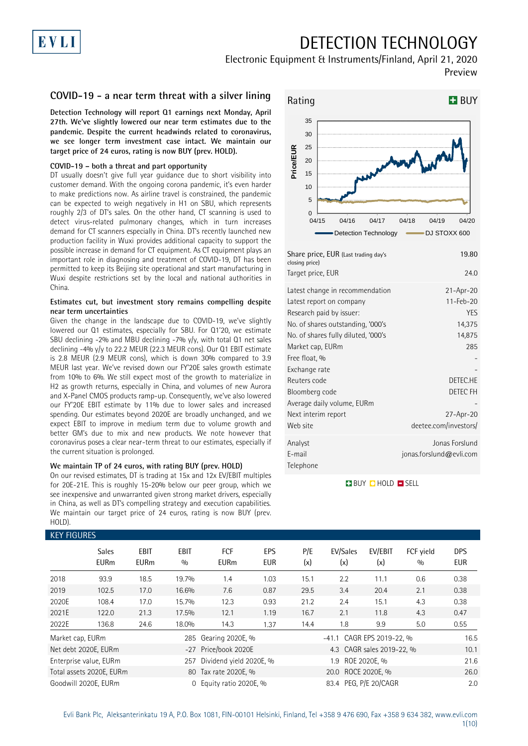# DETECTION TECHNOLOGY

## Electronic Equipment & Instruments/Finland, April 21, 2020 Preview

### **COVID-19 - a near term threat with a silver lining**

**Detection Technology will report Q1 earnings next Monday, April 27th. We've slightly lowered our near term estimates due to the pandemic. Despite the current headwinds related to coronavirus, we see longer term investment case intact. We maintain our target price of 24 euros, rating is now BUY (prev. HOLD).**

### **COVID-19 – both a threat and part opportunity**

EVLI

DT usually doesn't give full year guidance due to short visibility into customer demand. With the ongoing corona pandemic, it's even harder to make predictions now. As airline travel is constrained, the pandemic can be expected to weigh negatively in H1 on SBU, which represents roughly 2/3 of DT's sales. On the other hand, CT scanning is used to detect virus-related pulmonary changes, which in turn increases demand for CT scanners especially in China. DT's recently launched new production facility in Wuxi provides additional capacity to support the possible increase in demand for CT equipment. As CT equipment plays an important role in diagnosing and treatment of COVID-19, DT has been permitted to keep its Beijing site operational and start manufacturing in Wuxi despite restrictions set by the local and national authorities in China.

### **Estimates cut, but investment story remains compelling despite near term uncertainties**

Given the change in the landscape due to COVID-19, we've slightly lowered our Q1 estimates, especially for SBU. For Q1'20, we estimate SBU declining -2% and MBU declining -7%  $y/y$ , with total Q1 net sales declining -4% y/y to 22.2 MEUR (22.3 MEUR cons). Our Q1 EBIT estimate is 2.8 MEUR (2.9 MEUR cons), which is down 30% compared to 3.9 MEUR last year. We've revised down our FY'20E sales growth estimate from 10% to 6%. We still expect most of the growth to materialize in H2 as growth returns, especially in China, and volumes of new Aurora and X-Panel CMOS products ramp-up. Consequently, we've also lowered our FY'20E EBIT estimate by 11% due to lower sales and increased spending. Our estimates beyond 2020E are broadly unchanged, and we expect EBIT to improve in medium term due to volume growth and better GM's due to mix and new products. We note however that coronavirus poses a clear near-term threat to our estimates, especially if the current situation is prolonged.

#### **We maintain TP of 24 euros, with rating BUY (prev. HOLD)**

On our revised estimates, DT is trading at 15x and 12x EV/EBIT multiples for 20E-21E. This is roughly 15-20% below our peer group, which we see inexpensive and unwarranted given strong market drivers, especially in China, as well as DT's compelling strategy and execution capabilities. We maintain our target price of 24 euros, rating is now BUY (prev. HOLD).



| Share price, EUR (Last trading day's<br>closing price) | 19.80                   |
|--------------------------------------------------------|-------------------------|
| Target price, EUR                                      | 24.0                    |
| Latest change in recommendation                        | $21-Apr-20$             |
| Latest report on company                               | 11-Feb-20               |
| Research paid by issuer:                               | YES                     |
| No. of shares outstanding, '000's                      | 14,375                  |
| No. of shares fully diluted, '000's                    | 14,875                  |
| Market cap, EURm                                       | 285                     |
| Free float, %                                          |                         |
| Exchange rate                                          |                         |
| Reuters code                                           | DETEC.HE                |
| Bloomberg code                                         | DETEC FH                |
| Average daily volume, EURm                             |                         |
| Next interim report                                    | 27-Apr-20               |
| Web site                                               | deetee.com/investors/   |
| Analyst                                                | Jonas Forslund          |
| E-mail                                                 | jonas.forslund@evli.com |
| Telephone                                              |                         |
|                                                        |                         |

### **BUY QHOLD SELL**

|                  | <b>KEY FIGURES</b>          |                     |                    |                           |                   |            |                           |                           |                  |                          |  |  |  |
|------------------|-----------------------------|---------------------|--------------------|---------------------------|-------------------|------------|---------------------------|---------------------------|------------------|--------------------------|--|--|--|
|                  | <b>Sales</b><br><b>EURm</b> | EBIT<br><b>EURm</b> | <b>EBIT</b><br>0/0 | <b>FCF</b><br><b>EURm</b> | EPS<br><b>EUR</b> | P/E<br>(x) | EV/Sales<br>(x)           | EV/EBIT<br>(x)            | FCF vield<br>0/0 | <b>DPS</b><br><b>EUR</b> |  |  |  |
| 2018             | 93.9                        | 18.5                | 19.7%              | 1.4                       | 1.03              | 15.1       | 2.2                       | 11.1                      | 0.6              | 0.38                     |  |  |  |
| 2019             | 102.5                       | 17.0                | 16.6%              | 7.6                       | 0.87              | 29.5       | 3.4                       | 20.4                      | 2.1              | 0.38                     |  |  |  |
| 2020E            | 108.4                       | 17.0                | 15.7%              | 12.3                      | 0.93              | 21.2       | 2.4                       | 15.1                      | 4.3              | 0.38                     |  |  |  |
| 2021E            | 122.0                       | 21.3                | 17.5%              | 12.1                      | 1.19              | 16.7       | 2.1                       | 11.8                      | 4.3              | 0.47                     |  |  |  |
| 2022E            | 136.8                       | 24.6                | 18.0%              | 14.3                      | 1.37              | 14.4       | 1.8                       | 9.9                       | 5.0              | 0.55                     |  |  |  |
| Market cap, EURm |                             |                     |                    | 285 Gearing 2020E, %      |                   |            | -41.1 CAGR EPS 2019-22, % |                           |                  |                          |  |  |  |
|                  | Net debt 2020E, EURm        |                     |                    | -27 Price/book 2020E      |                   |            |                           | 4.3 CAGR sales 2019-22, % |                  | 10.1                     |  |  |  |
|                  | Enterprise value, EURm      |                     | 257                | Dividend yield 2020E, %   |                   |            | 1.9                       | ROE 2020E. %              |                  | 21.6                     |  |  |  |
|                  | Total assets 2020E, EURm    |                     |                    | 80 Tax rate 2020E, %      |                   |            | 20.0 ROCE 2020E, %        |                           |                  | 26.0                     |  |  |  |
|                  | Goodwill 2020E, EURm        |                     | $\Omega$           | Equity ratio 2020E, %     |                   |            | 83.4 PEG, P/E 20/CAGR     |                           |                  | 2.0                      |  |  |  |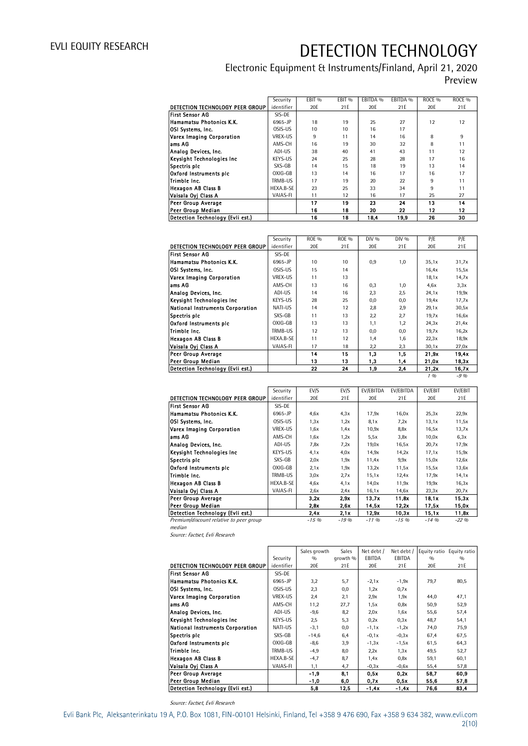## Electronic Equipment & Instruments/Finland, April 21, 2020 Preview

|                                  | Security        | EBIT <sub>%</sub> | EBIT <sub>%</sub> | EBITDA % | EBITDA % | ROCE <sub>%</sub> | ROCE <sub>%</sub> |
|----------------------------------|-----------------|-------------------|-------------------|----------|----------|-------------------|-------------------|
| DETECTION TECHNOLOGY PEER GROUP  | identifier      | 20E               | 21E               | 20E      | 21E      | 20E               | 21E               |
| First Sensor AG                  | SIS-DE          |                   |                   |          |          |                   |                   |
| Hamamatsu Photonics K.K.         | 6965-JP         | 18                | 19                | 25       | 27       | 12                | 12                |
| OSI Systems, Inc.                | OSIS-US         | 10                | 10                | 16       | 17       |                   |                   |
| Varex Imaging Corporation        | <b>VREX-US</b>  | 9                 | 11                | 14       | 16       | 8                 | 9                 |
| ams AG                           | AMS-CH          | 16                | 19                | 30       | 32       | 8                 | 11                |
| Analog Devices, Inc.             | ADI-US          | 38                | 40                | 41       | 43       | 11                | 12                |
| Keysight Technologies Inc        | KEYS-US         | 24                | 25                | 28       | 28       | 17                | 16                |
| Spectris plc                     | SXS-GB          | 14                | 15                | 18       | 19       | 13                | 14                |
| Oxford Instruments pic           | $OXIG-GB$       | 13                | 14                | 16       | 17       | 16                | 17                |
| Trimble Inc.                     | TRMB-US         | 17                | 19                | 20       | 22       | 9                 | 11                |
| <b>Hexagon AB Class B</b>        | HEXA.B-SE       | 23                | 25                | 33       | 34       | 9                 | 11                |
| Vaisala Oyj Class A              | <b>VAIAS-FI</b> | 11                | 12                | 16       | 17       | 25                | 27                |
| Peer Group Average               |                 | 17                | 19                | 23       | 24       | 13                | 14                |
| Peer Group Median                |                 | 16                | 18                | 20       | 22       | 12                | 12                |
| Detection Technology (Evli est.) |                 | 16                | 18                | 18,4     | 19,9     | 26                | 30                |

|                                         | Security   | ROE % | <b>ROE %</b>     | DIV % | $DIV\%$ | P/E   | P/E   |
|-----------------------------------------|------------|-------|------------------|-------|---------|-------|-------|
| DETECTION TECHNOLOGY PEER GROUP         | identifier | 20E   | 21E              | 20E   | 21E     | 20E   | 21E   |
| <b>First Sensor AG</b>                  | SIS-DE     |       |                  |       |         |       |       |
| Hamamatsu Photonics K.K.                | 6965-JP    | 10    | 10 <sup>10</sup> | 0,9   | 1,0     | 35,1x | 31,7x |
| OSI Systems, Inc.                       | OSIS-US    | 15    | 14               |       |         | 16,4x | 15,5x |
| Varex Imaging Corporation               | VREX-US    | 11    | 13               |       |         | 18,1x | 14.7x |
| ams AG                                  | AMS-CH     | 13    | 16               | 0,3   | 1,0     | 4.6x  | 3.3x  |
| Analog Devices, Inc.                    | ADI-US     | 14    | 16               | 2,3   | 2,5     | 24.1x | 19.9x |
| Keysight Technologies Inc.              | KEYS-US    | 28    | 25               | 0,0   | 0,0     | 19,4x | 17,7x |
| <b>National Instruments Corporation</b> | NATI-US    | 14    | 12               | 2,8   | 2,9     | 29.1x | 30,5x |
| Spectris plc                            | SXS-GB     | 11    | 13               | 2,2   | 2,7     | 19,7x | 16,6x |
| Oxford Instruments plc                  | OXIG-GB    | 13    | 13               | 1,1   | 1,2     | 24,3x | 21,4x |
| Trimble Inc.                            | TRMB-US    | 12    | 13               | 0,0   | 0.0     | 19,7x | 16,2x |
| <b>Hexagon AB Class B</b>               | HEXA.B-SE  | 11    | 12               | 1,4   | 1,6     | 22.3x | 18,9x |
| Vaisala Ovi Class A                     | VAIAS-FI   | 17    | 18               | 2,2   | 2,3     | 30,1x | 27.0x |
| Peer Group Average                      |            | 14    | 15               | 1,3   | 1,5     | 21.9x | 19,4x |
| Peer Group Median                       |            | 13    | 13               | 1,3   | 1,4     | 21,0x | 18,3x |
| Detection Technology (Evli est.)        |            | 22    | 24               | 1,9   | 2,4     | 21,2x | 16,7x |

1 % -9 %

|                                         | Security       | EV/S   | EV/S   | EV/EBITDA | EV/EBITDA | EV/EBIT  | EV/EBIT  |
|-----------------------------------------|----------------|--------|--------|-----------|-----------|----------|----------|
| DETECTION TECHNOLOGY PEER GROUP         | identifier     | 20E    | 21E    | 20E       | 21E       | 20E      | 21E      |
| <b>First Sensor AG</b>                  | SIS-DE         |        |        |           |           |          |          |
| Hamamatsu Photonics K.K.                | 6965-JP        | 4.6x   | 4,3x   | 17,9x     | 16,0x     | 25,3x    | 22.9x    |
| OSI Systems, Inc.                       | OSIS-US        | 1,3x   | 1,2x   | 8.1x      | 7.2x      | 13,1x    | 11,5x    |
| Varex Imaging Corporation               | <b>VREX-US</b> | 1,6x   | 1,4x   | 10,9x     | 8,8x      | 16,5x    | 13,7x    |
| ams AG                                  | AMS-CH         | 1,6x   | 1,2x   | 5,5x      | 3,8x      | 10,0x    | 6.3x     |
| Analog Devices, Inc.                    | ADI-US         | 7,8x   | 7.2x   | 19,0x     | 16,5x     | 20,7x    | 17,9x    |
| Keysight Technologies Inc               | KEYS-US        | 4.1x   | 4.0x   | 14,9x     | 14,2x     | 17,1x    | 15,9x    |
| Spectris plc                            | SXS-GB         | 2,0x   | 1,9x   | 11,4x     | 9,9x      | 15,0x    | 12,6x    |
| Oxford Instruments pic                  | OXIG-GB        | 2.1x   | 1,9x   | 13,2x     | 11,5x     | 15,5x    | 13,6x    |
| Trimble Inc.                            | TRMB-US        | 3,0x   | 2.7x   | 15,1x     | 12.4x     | 17,9x    | 14.1x    |
| Hexagon AB Class B                      | HEXA.B-SE      | 4.6x   | 4.1x   | 14,0x     | 11,9x     | 19,9x    | 16,3x    |
| Vaisala Oyi Class A                     | VAIAS-FI       | 2,6x   | 2.4x   | 16,1x     | 14,6x     | 23,3x    | 20.7x    |
| <b>Peer Group Average</b>               |                | 3.2x   | 2.9x   | 13.7x     | 11.8x     | 18.1x    | 15,3x    |
| Peer Group Median                       |                | 2,8x   | 2,6x   | 14.5x     | 12.2x     | 17,5x    | 15,0x    |
| Detection Technology (Evli est.)        |                | 2,4x   | 2,1x   | 12.9x     | 10.3x     | 15,1x    | 11,8x    |
| Premium/discount relative to peer group |                | $-15%$ | $-19%$ | $-1196$   | $-15%$    | $-14.96$ | $-22.96$ |

median

Source: Factset, Evli Research

|                                         |                | Sales growth | Sales    | Net debt /    |         |      | Net debt / Equity ratio Equity ratio |
|-----------------------------------------|----------------|--------------|----------|---------------|---------|------|--------------------------------------|
|                                         | Security       | 0/0          | growth % | <b>EBITDA</b> | EBITDA  | 0/0  | 0/0                                  |
| DETECTION TECHNOLOGY PEER GROUP         | identifier     | 20E          | 21E      | 20E           | 21E     | 20E  | 21E                                  |
| <b>First Sensor AG</b>                  | SIS-DE         |              |          |               |         |      |                                      |
| Hamamatsu Photonics K.K.                | 6965-JP        | 3,2          | 5,7      | $-2,1x$       | $-1,9x$ | 79,7 | 80,5                                 |
| OSI Systems, Inc.                       | OSIS-US        | 2,3          | 0,0      | 1,2x          | 0.7x    |      |                                      |
| Varex Imaging Corporation               | <b>VREX-US</b> | 2,4          | 2,1      | 2.9x          | 1,9x    | 44,0 | 47,1                                 |
| lams AG                                 | AMS-CH         | 11,2         | 27,7     | 1,5x          | 0,8x    | 50,9 | 52,9                                 |
| Analog Devices, Inc.                    | ADI-US         | $-9,6$       | 8,2      | 2.0x          | 1,6x    | 55,6 | 57,4                                 |
| Keysight Technologies Inc               | KEYS-US        | 2,5          | 5,3      | 0.2x          | 0.3x    | 48,7 | 54,1                                 |
| <b>National Instruments Corporation</b> | NATI-US        | $-3,1$       | 0,0      | $-1,1x$       | $-1,2x$ | 74,0 | 75,9                                 |
| Spectris plc                            | SXS-GB         | $-14,6$      | 6,4      | $-0.1x$       | $-0.3x$ | 67,4 | 67,5                                 |
| Oxford Instruments pic                  | OXIG-GB        | $-8,6$       | 3,9      | $-1, 3x$      | $-1,5x$ | 61,5 | 64,3                                 |
| Trimble Inc.                            | TRMB-US        | $-4,9$       | 8,0      | 2.2x          | 1,3x    | 49,5 | 52,7                                 |
| <b>Hexagon AB Class B</b>               | HEXA.B-SE      | $-4,7$       | 8,7      | 1.4x          | 0,8x    | 59,1 | 60,1                                 |
| Vaisala Oyj Class A                     | VAIAS-FI       | 1,1          | 4,7      | $-0.3x$       | $-0,6x$ | 55,4 | 57,8                                 |
| Peer Group Average                      |                | -1,9         | 8,1      | 0.5x          | 0,2x    | 58,7 | 60.9                                 |
| Peer Group Median                       |                | $-1,0$       | 6,0      | 0,7x          | 0,5x    | 55.6 | 57,8                                 |
| Detection Technology (Evli est.)        |                | 5,8          | 12,5     | $-1.4x$       | -1.4x   | 76.6 | 83,4                                 |

Source: Factset, Evli Research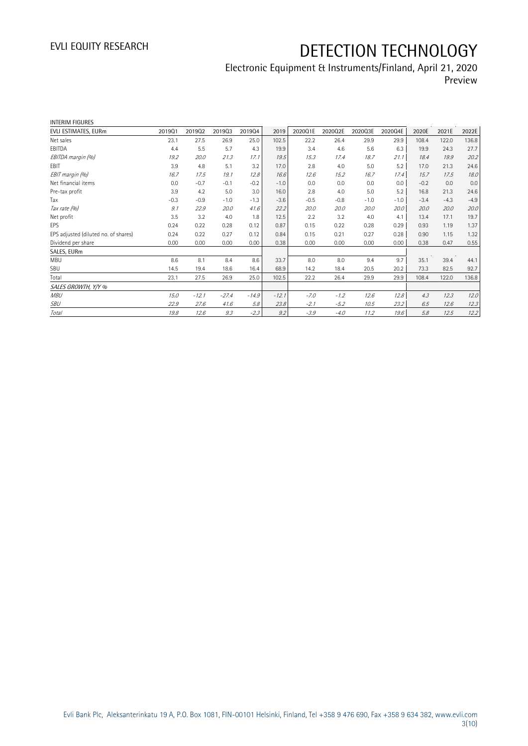## Electronic Equipment & Instruments/Finland, April 21, 2020 Preview

| <b>INTERIM FIGURES</b>               |        |         |         |         |         |         |         |         |         |        |        |        |
|--------------------------------------|--------|---------|---------|---------|---------|---------|---------|---------|---------|--------|--------|--------|
| EVLI ESTIMATES, EURm                 | 201901 | 201902  | 201903  | 201904  | 2019    | 2020Q1E | 2020Q2E | 2020Q3E | 2020Q4E | 2020E  | 2021E  | 2022E  |
| Net sales                            | 23.1   | 27.5    | 26.9    | 25.0    | 102.5   | 22.2    | 26.4    | 29.9    | 29.9    | 108.4  | 122.0  | 136.8  |
| EBITDA                               | 4.4    | 5.5     | 5.7     | 4.3     | 19.9    | 3.4     | 4.6     | 5.6     | 6.3     | 19.9   | 24.3   | 27.7   |
| EBITDA margin (%)                    | 19.2   | 20.0    | 21.3    | 17.1    | 19.5    | 15.3    | 17.4    | 18.7    | 21.1    | 18.4   | 19.9   | 20.2   |
| EBIT                                 | 3.9    | 4.8     | 5.1     | 3.2     | 17.0    | 2.8     | 4.0     | 5.0     | 5.2     | 17.0   | 21.3   | 24.6   |
| EBIT margin (%)                      | 16.7   | 17.5    | 19.1    | 12.8    | 16.6    | 12.6    | 15.2    | 16.7    | 17.4    | 15.7   | 17.5   | 18.0   |
| Net financial items                  | 0.0    | $-0.7$  | $-0.1$  | $-0.2$  | $-1.0$  | 0.0     | 0.0     | 0.0     | 0.0     | $-0.2$ | 0.0    | 0.0    |
| Pre-tax profit                       | 3.9    | 4.2     | 5.0     | 3.0     | 16.0    | 2.8     | 4.0     | 5.0     | 5.2     | 16.8   | 21.3   | 24.6   |
| Tax                                  | $-0.3$ | $-0.9$  | $-1.0$  | $-1.3$  | $-3.6$  | $-0.5$  | $-0.8$  | $-1.0$  | $-1.0$  | $-3.4$ | $-4.3$ | $-4.9$ |
| Tax rate (%)                         | 9.1    | 22.9    | 20.0    | 41.6    | 22.2    | 20.0    | 20.0    | 20.0    | 20.0    | 20.0   | 20.0   | 20.0   |
| Net profit                           | 3.5    | 3.2     | 4.0     | 1.8     | 12.5    | 2.2     | 3.2     | 4.0     | 4.1     | 13.4   | 17.1   | 19.7   |
| <b>FPS</b>                           | 0.24   | 0.22    | 0.28    | 0.12    | 0.87    | 0.15    | 0.22    | 0.28    | 0.29    | 0.93   | 1.19   | 1.37   |
| EPS adjusted (diluted no. of shares) | 0.24   | 0.22    | 0.27    | 0.12    | 0.84    | 0.15    | 0.21    | 0.27    | 0.28    | 0.90   | 1.15   | 1.32   |
| Dividend per share                   | 0.00   | 0.00    | 0.00    | 0.00    | 0.38    | 0.00    | 0.00    | 0.00    | 0.00    | 0.38   | 0.47   | 0.55   |
| SALES, EURm                          |        |         |         |         |         |         |         |         |         |        |        |        |
| <b>MBU</b>                           | 8.6    | 8.1     | 8.4     | 8.6     | 33.7    | 8.0     | 8.0     | 9.4     | 9.7     | 35.1   | 39.4   | 44.1   |
| SBU                                  | 14.5   | 19.4    | 18.6    | 16.4    | 68.9    | 14.2    | 18.4    | 20.5    | 20.2    | 73.3   | 82.5   | 92.7   |
| Total                                | 23.1   | 27.5    | 26.9    | 25.0    | 102.5   | 22.2    | 26.4    | 29.9    | 29.9    | 108.4  | 122.0  | 136.8  |
| SALES GROWTH, Y/Y %                  |        |         |         |         |         |         |         |         |         |        |        |        |
| <b>MBU</b>                           | 15.0   | $-12.1$ | $-27.4$ | $-14.9$ | $-12.1$ | $-7.0$  | $-1.2$  | 12.6    | 12.8    | 4.3    | 12.3   | 12.0   |
| SBU                                  | 22.9   | 27.6    | 41.6    | 5.8     | 23.8    | $-2.1$  | $-5.2$  | 10.5    | 23.2    | 6.5    | 12.6   | 12.3   |
| <b>Total</b>                         | 19.8   | 12.6    | 9.3     | $-2.3$  | 9.2     | $-3.9$  | $-4.0$  | 11.2    | 19.6    | 5.8    | 12.5   | 12.2   |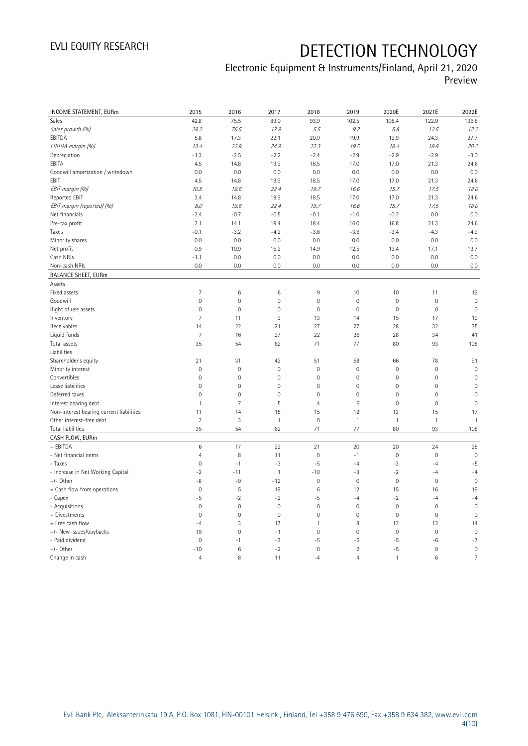## Electronic Equipment & Instruments/Finland, April 21, 2020 Preview

| INCOME STATEMENT, EURm                   | 2015                | 2016           | 2017                | 2018           | 2019           | 2020E               | 2021E        | 2022E               |
|------------------------------------------|---------------------|----------------|---------------------|----------------|----------------|---------------------|--------------|---------------------|
| Sales                                    | 42.8                | 75.5           | 89.0                | 93.9           | 102.5          | 108.4               | 122.0        | 136.8               |
| Sales growth (%)                         | 29.2                | 76.5           | 17.9                | 5.5            | 9.2            | 5.8                 | 12.5         | 12.2                |
| EBITDA                                   | 5.8                 | 17.3           | 22.1                | 20.9           | 19.9           | 19.9                | 24.3         | 27.7                |
| EBITDA margin (%)                        | 13.4                | 22.9           | 24.9                | 22.3           | 19.5           | 18.4                | 19.9         | 20.2                |
| Depreciation                             | $-1.3$              | $-2.5$         | $-2.2$              | $-2.4$         | $-2.9$         | $-2.9$              | $-2.9$       | $-3.0$              |
| EBITA                                    | 4.5                 | 14.8           | 19.9                | 18.5           | 17.0           | 17.0                | 21.3         | 24.6                |
| Goodwill amortization / writedown        | 0.0                 | 0.0            | 0.0                 | 0.0            | 0.0            | 0.0                 | 0.0          | 0.0                 |
| EBIT                                     | 4.5                 | 14.8           | 19.9                | 18.5           | 17.0           | 17.0                | 21.3         | 24.6                |
| EBIT margin (%)                          | 10.5                | 19.6           | 22.4                | 19.7           | 16.6           | 15.7                | 17.5         | 18.0                |
| <b>Reported EBIT</b>                     | 3.4                 | 14.8           | 19.9                | 18.5           | 17.0           | 17.0                | 21.3         | 24.6                |
| EBIT margin (reported) (%)               | 8.0                 | 19.6           | 22.4                | 19.7           | 16.6           | 15.7                | 17.5         | 18.0                |
| Net financials                           | $-2.4$              | $-0.7$         | $-0.5$              | $-0.1$         | $-1.0$         | $-0.2$              | 0.0          | 0.0                 |
| Pre-tax profit                           | 2.1                 | 14.1           | 19.4                | 18.4           | 16.0           | 16.8                | 21.3         | 24.6                |
| Taxes                                    | $-0.1$              | $-3.2$         | $-4.2$              | $-3.6$         | $-3.6$         | $-3.4$              | $-4.3$       | $-4.9$              |
| Minority shares                          | 0.0                 | 0.0            | 0.0                 | 0.0            | 0.0            | 0.0                 | 0.0          | 0.0                 |
| Net profit                               | 0.9                 | 10.9           | 15.2                | 14.9           | 12.5           | 13.4                | 17.1         | 19.7                |
| Cash NRIs                                | $-1.1$              | 0.0            | 0.0                 | 0.0            | 0.0            | 0.0                 | 0.0          | 0.0                 |
| Non-cash NRIs                            | 0.0                 | 0.0            | 0.0                 | 0.0            | 0.0            | 0.0                 | 0.0          | 0.0                 |
| <b>BALANCE SHEET, EURm</b>               |                     |                |                     |                |                |                     |              |                     |
| Assets                                   |                     |                |                     |                |                |                     |              |                     |
| Fixed assets                             | $\overline{7}$      | $\,6\,$        | 6                   | $\overline{9}$ | 10             | 10                  | 11           | 12                  |
| Goodwill                                 | $\mathbb O$         | $\mathbf 0$    | $\overline{0}$      | $\mathbf 0$    | $\mathbf 0$    | $\mathsf{O}\xspace$ | $\mathbf 0$  | $\mathbf 0$         |
| Right of use assets                      | $\mathsf{O}\xspace$ | $\mathbf 0$    | $\mathsf{O}\xspace$ | $\mathbb O$    | $\mathbf 0$    | $\mathsf{O}\xspace$ | $\mathbf 0$  | $\mathbf 0$         |
| Inventory                                | $\overline{7}$      | 11             | $9\,$               | 13             | 14             | 15                  | 17           | 19                  |
| Receivables                              | 14                  | 22             | 21                  | 27             | 27             | 28                  | 32           | 35                  |
| Liquid funds                             | $\overline{7}$      | 16             | 27                  | 22             | 26             | 28                  | 34           | 41                  |
| Total assets                             | 35                  | 54             | 62                  | 71             | 77             | 80                  | 93           | 108                 |
| Liabilities                              |                     |                |                     |                |                |                     |              |                     |
| Shareholder's equity                     | 21                  | 31             | 42                  | 51             | 58             | 66                  | 78           | 91                  |
| Minority interest                        | $\mathbb O$         | $\mathbf 0$    | $\mathbf 0$         | $\mathbf 0$    | $\mathbf 0$    | $\mathsf{O}\xspace$ | $\mathbf 0$  | $\mathbf 0$         |
| Convertibles                             | $\mathbf 0$         | $\mathbf 0$    | $\mathbf 0$         | $\mathbf{0}$   | $\mathbf 0$    | $\mathbf 0$         | $\mathbf 0$  | $\overline{0}$      |
| Lease liabilities                        | $\mathbb O$         | $\mathbf 0$    | $\mathsf{O}\xspace$ | $\mathbf 0$    | $\mathbf 0$    | $\mathsf{O}\xspace$ | $\mathbf 0$  | $\mathsf{O}\xspace$ |
| Deferred taxes                           | $\mathbf 0$         | $\mathbf 0$    | $\mathbf 0$         | $\mathbf 0$    | $\mathbf 0$    | $\mathsf{O}\xspace$ | $\mathbf 0$  | $\mathsf{O}\xspace$ |
| Interest bearing debt                    | $\mathbf{1}$        | $\overline{7}$ | 5                   | $\overline{4}$ | $\,6\,$        | $\mathbb O$         | $\mathbf 0$  | $\overline{0}$      |
| Non-interest bearing current liabilities | 11                  | 14             | 15                  | 15             | 12             | 13                  | 15           | 17                  |
| Other interest-free debt                 | $\overline{2}$      | 3              | $\mathbf{1}$        | $\overline{0}$ | $\mathbf{1}$   | $\mathbf{1}$        | $\mathbf{1}$ | $\mathbf{1}$        |
| Total liabilities                        | 35                  | 54             | 62                  | 71             | 77             | 80                  | 93           | 108                 |
| CASH FLOW, EURm                          |                     |                |                     |                |                |                     |              |                     |
| + EBITDA                                 | 6                   | 17             | 22                  | 21             | 20             | 20                  | 24           | 28                  |
| - Net financial items                    | $\overline{4}$      | 8              | 11                  | $\mathbf 0$    | $-1$           | $\mathsf{O}\xspace$ | $\mathbf 0$  | $\mathbf 0$         |
| - Taxes                                  | $\mathbb O$         | $-1$           | $-3$                | $-5$           | $-4$           | $-3$                | $-4$         | $-5$                |
| - Increase in Net Working Capital        | $-2$                | $-11$          | $\mathbf{1}$        | $-10$          | $-3$           | $-2$                | $-4$         | $-4$                |
| $+/-$ Other                              | -8                  | -9             | $-12$               | $\mathbf 0$    | $\mathbf 0$    | $\mathsf{O}\xspace$ | $\mathbf 0$  | $\mathbf 0$         |
| = Cash flow from operations              | $\mathsf{O}\xspace$ | $\mathsf S$    | 19                  | $\,6$          | 12             | 15                  | 16           | 19                  |
| - Capex                                  | -5                  | $-2$           | $-2$                | $-5$           | $-4$           | $-2$                | $-4$         | $-4$                |
| - Acquisitions                           | $\mathbf 0$         | $\mathbf 0$    | $\mathbf 0$         | $\mathbf 0$    | $\mathbf 0$    | $\mathbb O$         | $\mathbf 0$  | $\mathbf 0$         |
| + Divestments                            | $\mathbf 0$         | $\mathbf{0}$   | $\mathbf 0$         | $\overline{0}$ | $\mathbf 0$    | $\overline{0}$      | $\mathbf 0$  | $\overline{0}$      |
| = Free cash flow                         | $-4$                | $\sqrt{3}$     | 17                  | $\mathbf{1}$   | 8              | 12                  | 12           | 14                  |
| +/- New issues/buybacks                  | 19                  | $\mathbf 0$    | $-1$                | $\mathbf 0$    | $\mathbf 0$    | $\mathsf{O}\xspace$ | $\mathbf 0$  | $\mathbf 0$         |
| - Paid dividend                          | $\mathbf{0}$        | $-1$           | $-3$                | -5             | $-5$           | -5                  | -6           | $-7$                |
| $+/-$ Other                              | $-10$               | $\,6\,$        | $-2$                | $\mathbf 0$    | $\overline{2}$ | $-5$                | $\mathbf 0$  | $\mathbf 0$         |
| Change in cash                           | $\overline{4}$      | 8              | 11                  | $-4$           | $\overline{4}$ | $\mathbf{1}$        | 6            | $\overline{7}$      |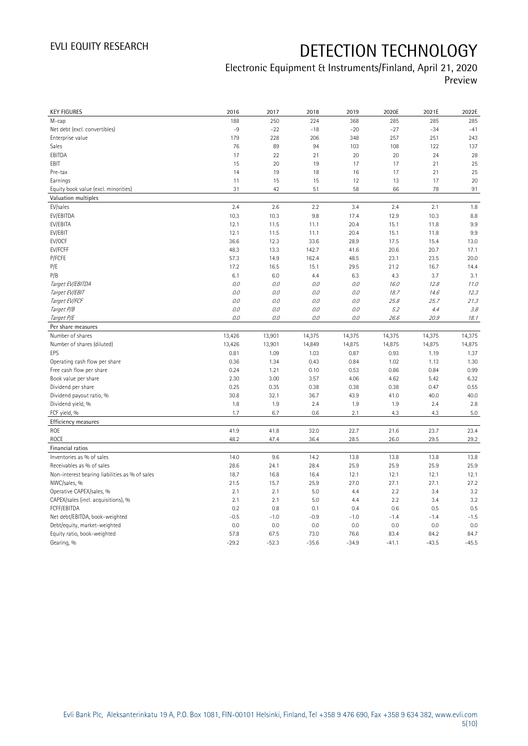## Electronic Equipment & Instruments/Finland, April 21, 2020 Preview

| <b>KEY FIGURES</b>                             | 2016            | 2017            | 2018            | 2019            | 2020E           | 2021E           | 2022E           |
|------------------------------------------------|-----------------|-----------------|-----------------|-----------------|-----------------|-----------------|-----------------|
| M-cap                                          | 188             | 250             | 224             | 368             | 285             | 285             | 285             |
| Net debt (excl. convertibles)                  | $-9$            | $-22$           | $-18$           | $-20$           | $-27$           | $-34$           | $-41$           |
| Enterprise value                               | 179             | 228             | 206             | 348             | 257             | 251             | 243             |
| Sales                                          | 76              | 89              | 94              | 103             | 108             | 122             | 137             |
| EBITDA                                         | 17              | 22              | 21              | 20              | 20              | 24              | 28              |
| EBIT                                           | 15              | 20              | 19              | 17              | 17              | 21              | 25              |
| Pre-tax                                        | 14              | 19              | 18              | 16              | 17              | 21              | 25              |
| Earnings                                       | 11              | 15              | 15              | 12              | 13              | 17              | 20              |
| Equity book value (excl. minorities)           | 31              | 42              | 51              | 58              | 66              | 78              | 91              |
| Valuation multiples                            |                 |                 |                 |                 |                 |                 |                 |
| EV/sales                                       | 2.4             | 2.6             | 2.2             | 3.4             | 2.4             | 2.1             | 1.8             |
| EV/EBITDA                                      | 10.3            | 10.3            | 9.8             | 17.4            | 12.9            | 10.3            | 8.8             |
| EV/EBITA                                       | 12.1            | 11.5            | 11.1            | 20.4            | 15.1            | 11.8            | 9.9             |
| EV/EBIT                                        | 12.1            | 11.5            | 11.1            | 20.4            | 15.1            | 11.8            | 9.9             |
| EV/OCF                                         | 36.6            | 12.3            | 33.6            | 28.9            | 17.5            | 15.4            | 13.0            |
| EV/FCFF                                        | 48.3            | 13.3            | 142.7           | 41.6            | 20.6            | 20.7            | 17.1            |
| P/FCFE                                         | 57.3            | 14.9            | 162.4           | 48.5            | 23.1            | 23.5            | 20.0            |
| P/E                                            | 17.2            | 16.5            | 15.1            | 29.5            | 21.2            | 16.7            | 14.4            |
| P/B                                            | 6.1             | 6.0             | 4.4             | 6.3             | 4.3             | 3.7             | 3.1             |
| Target EV/EBITDA                               | 0.0             | 0.0             | 0.0             | $O.O$           | 16.0            | 12.8            | 11.0            |
| Target EV/EBIT                                 | $0.0$           | $0.0$           | 0.0             | $O.O$           | 18.7            | 14.6            | 12.3            |
| Target EV/FCF                                  | O.O             | 0.0             | 0.0             | 0.0             | 25.8            | 25.7            | 21.3            |
| Target P/B                                     | O.O             | 0.0             | 0.0             | 0.0             | 5.2             | 4.4             | 3.8             |
| Target P/E                                     | 0.0             | 0.0             | 0.0             | 0.0             | 26.6            | 20.9            | 18.1            |
| Per share measures                             |                 |                 |                 |                 |                 |                 |                 |
|                                                |                 |                 |                 |                 |                 |                 |                 |
|                                                |                 |                 |                 |                 |                 |                 |                 |
| Number of shares                               | 13,426          | 13,901          | 14,375          | 14,375          | 14,375          | 14,375          | 14,375          |
| Number of shares (diluted)                     | 13,426          | 13,901          | 14,849          | 14,875          | 14,875          | 14,875          | 14,875          |
| EPS                                            | 0.81            | 1.09            | 1.03            | 0.87            | 0.93            | 1.19            | 1.37            |
| Operating cash flow per share                  | 0.36            | 1.34            | 0.43            | 0.84            | 1.02            | 1.13            | 1.30            |
| Free cash flow per share                       | 0.24            | 1.21            | 0.10            | 0.53            | 0.86            | 0.84            | 0.99            |
| Book value per share                           | 2.30            | 3.00            | 3.57            | 4.06            | 4.62            | 5.42            | 6.32            |
| Dividend per share                             | 0.25            | 0.35            | 0.38            | 0.38            | 0.38            | 0.47            | 0.55            |
| Dividend payout ratio, %                       | 30.8            | 32.1            | 36.7            | 43.9            | 41.0            | 40.0            | 40.0            |
| Dividend yield, %                              | 1.8             | 1.9             | 2.4             | 1.9             | 1.9             | 2.4             | 2.8             |
| FCF yield, %                                   | 1.7             | 6.7             | 0.6             | 2.1             | 4.3             | 4.3             | 5.0             |
| Efficiency measures                            |                 |                 |                 |                 |                 |                 |                 |
| ROE                                            | 41.9            | 41.8            | 32.0            | 22.7            | 21.6            | 23.7            | 23.4            |
| <b>ROCE</b>                                    | 48.2            | 47.4            | 36.4            | 28.5            | 26.0            | 29.5            | 29.2            |
| Financial ratios                               |                 |                 |                 |                 |                 |                 |                 |
| Inventories as % of sales                      | 14.0            | 9.6             | 14.2            | 13.8            | 13.8            | 13.8            | 13.8            |
| Receivables as % of sales                      | 28.6            | 24.1            | 28.4            | 25.9            | 25.9            | 25.9            | 25.9            |
| Non-interest bearing liabilities as % of sales | 18.7            | 16.8            | 16.4            | 12.1            | 12.1            | 12.1            | 12.1            |
| NWC/sales, %                                   | 21.5            | 15.7            | 25.9            | 27.0            | 27.1            | 27.1            | 27.2            |
| Operative CAPEX/sales, %                       | 2.1             | 2.1             | 5.0             | 4.4             | 2.2             | 3.4             | 3.2             |
| CAPEX/sales (incl. acquisitions), %            | 2.1             | 2.1             | 5.0             | 4.4             | 2.2             | 3.4             | 3.2             |
| FCFF/EBITDA                                    | 0.2             | 0.8             | 0.1             | 0.4             | 0.6             | 0.5             | 0.5             |
| Net debt/EBITDA, book-weighted                 | $-0.5$          | $-1.0$          | $-0.9$          | $-1.0$          | $-1.4$          | $-1.4$          | $-1.5$          |
| Debt/equity, market-weighted                   | 0.0             | 0.0             | 0.0             | 0.0             | 0.0             | 0.0             | 0.0             |
| Equity ratio, book-weighted<br>Gearing, %      | 57.8<br>$-29.2$ | 67.5<br>$-52.3$ | 73.0<br>$-35.6$ | 76.6<br>$-34.9$ | 83.4<br>$-41.1$ | 84.2<br>$-43.5$ | 84.7<br>$-45.5$ |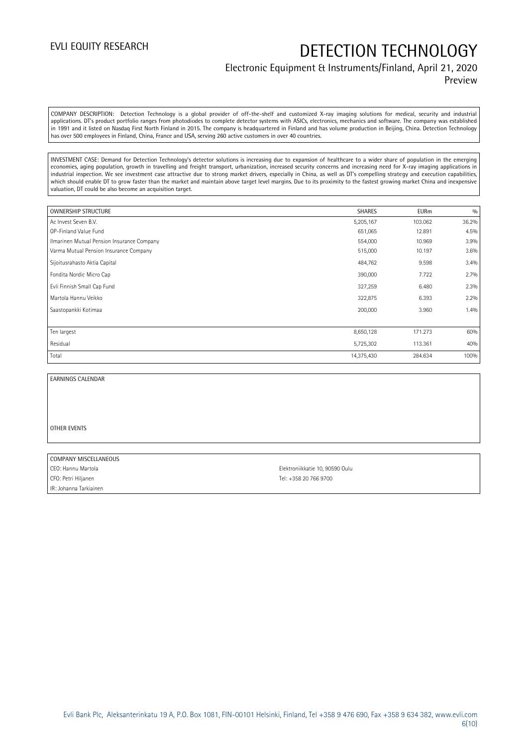### Electronic Equipment & Instruments/Finland, April 21, 2020 Preview

COMPANY DESCRIPTION: Detection Technology is a global provider of off-the-shelf and customized X-ray imaging solutions for medical, security and industrial applications. DT's product portfolio ranges from photodiodes to complete detector systems with ASICs, electronics, mechanics and software. The company was established in 1991 and it listed on Nasdaq First North Finland in 2015. The company is headquartered in Finland and has volume production in Beijing, China. Detection Technology has over 500 employees in Finland, China, France and USA, serving 260 active customers in over 40 countries.

INVESTMENT CASE: Demand for Detection Technology's detector solutions is increasing due to expansion of healthcare to a wider share of population in the emerging economies, aging population, growth in travelling and freight transport, urbanization, increased security concerns and increasing need for X-ray imaging applications in industrial inspection. We see investment case attractive due to strong market drivers, especially in China, as well as DT's compelling strategy and execution capabilities, which should enable DT to grow faster than the market and maintain above target level margins. Due to its proximity to the fastest growing market China and inexpensive valuation, DT could be also become an acquisition target.

| <b>OWNERSHIP STRUCTURE</b>                 | <b>SHARES</b> | <b>EURm</b> | 0/0   |
|--------------------------------------------|---------------|-------------|-------|
| Ac Invest Seven B.V.                       | 5,205,167     | 103.062     | 36.2% |
| OP-Finland Value Fund                      | 651,065       | 12.891      | 4.5%  |
| Ilmarinen Mutual Pension Insurance Company | 554,000       | 10.969      | 3.9%  |
| Varma Mutual Pension Insurance Company     | 515,000       | 10.197      | 3.6%  |
| Sijoitusrahasto Aktia Capital              | 484,762       | 9.598       | 3.4%  |
| Fondita Nordic Micro Cap                   | 390,000       | 7.722       | 2.7%  |
| Evli Finnish Small Cap Fund                | 327,259       | 6.480       | 2.3%  |
| Martola Hannu Veikko                       | 322,875       | 6.393       | 2.2%  |
| Saastopankki Kotimaa                       | 200,000       | 3.960       | 1.4%  |
|                                            |               |             |       |
| Ten largest                                | 8,650,128     | 171.273     | 60%   |
| Residual                                   | 5,725,302     | 113.361     | 40%   |
| Total                                      | 14,375,430    | 284.634     | 100%  |

### EARNINGS CALENDAR

#### OTHER EVENTS

#### COMPANY MISCELLANEOUS

CFO: Petri Hiljanen Tel: +358 20 766 9700 IR: Johanna Tarkiainen

CEO: Hannu Martola Elektroniikkatie 10, 90590 Oulu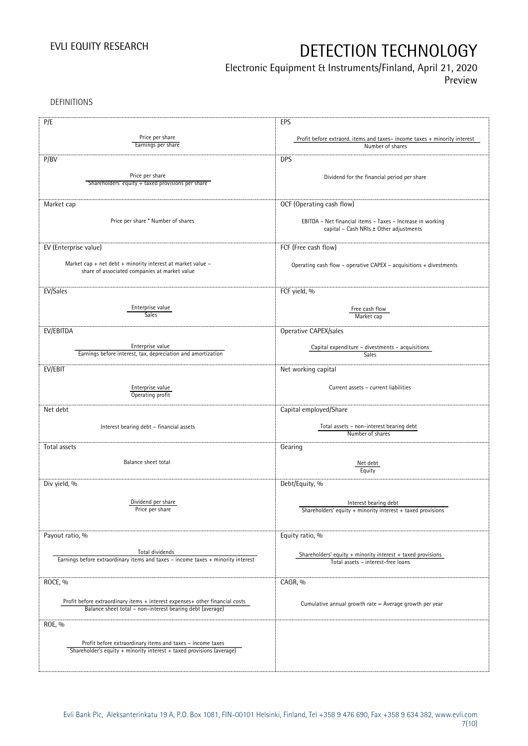# Electronic Equipment & Instruments/Finland, April 21, 2020

Preview

DEFINITIONS

| P/E                                                                                                                                       | EPS                                                                                                   |
|-------------------------------------------------------------------------------------------------------------------------------------------|-------------------------------------------------------------------------------------------------------|
| Price per share                                                                                                                           | Profit before extraord. items and taxes-income taxes + minority interest                              |
| Earnings per share                                                                                                                        | Number of shares                                                                                      |
| P/BV                                                                                                                                      | <b>DPS</b>                                                                                            |
|                                                                                                                                           |                                                                                                       |
| Price per share<br>Shareholders' equity + taxed provisions per share                                                                      | Dividend for the financial period per share                                                           |
|                                                                                                                                           |                                                                                                       |
| Market cap                                                                                                                                | OCF (Operating cash flow)                                                                             |
|                                                                                                                                           |                                                                                                       |
| Price per share * Number of shares                                                                                                        | EBITDA - Net financial items - Taxes - Increase in working<br>capital - Cash NRIs ± Other adjustments |
|                                                                                                                                           |                                                                                                       |
| EV (Enterprise value)                                                                                                                     | FCF (Free cash flow)                                                                                  |
|                                                                                                                                           |                                                                                                       |
| Market cap + net debt + minority interest at market value $-$<br>share of associated companies at market value                            | Operating cash flow - operative CAPEX - acquisitions + divestments                                    |
|                                                                                                                                           |                                                                                                       |
| EV/Sales                                                                                                                                  | FCF yield, %                                                                                          |
| Enterprise value                                                                                                                          |                                                                                                       |
| <b>Sales</b>                                                                                                                              | Free cash flow<br>Market cap                                                                          |
| EV/EBITDA                                                                                                                                 |                                                                                                       |
|                                                                                                                                           | Operative CAPEX/sales                                                                                 |
| Enterprise value                                                                                                                          | Capital expenditure - divestments - acquisitions                                                      |
| Earnings before interest, tax, depreciation and amortization                                                                              | <b>Sales</b>                                                                                          |
| EV/EBIT                                                                                                                                   | Net working capital                                                                                   |
|                                                                                                                                           |                                                                                                       |
| Enterprise value<br>Operating profit                                                                                                      | Current assets - current liabilities                                                                  |
| Net debt                                                                                                                                  | Capital employed/Share                                                                                |
|                                                                                                                                           |                                                                                                       |
| Interest bearing debt - financial assets                                                                                                  | Total assets - non-interest bearing debt                                                              |
|                                                                                                                                           | Number of shares                                                                                      |
| Total assets                                                                                                                              | Gearing                                                                                               |
| Balance sheet total                                                                                                                       | Net debt                                                                                              |
|                                                                                                                                           | Equity                                                                                                |
| Div yield, %                                                                                                                              | Debt/Equity, %                                                                                        |
|                                                                                                                                           |                                                                                                       |
| Dividend per share<br>Price per share                                                                                                     | Interest bearing debt<br>Shareholders' equity + minority interest + taxed provisions                  |
|                                                                                                                                           |                                                                                                       |
|                                                                                                                                           |                                                                                                       |
| Payout ratio, %                                                                                                                           | Equity ratio, %                                                                                       |
| Total dividends                                                                                                                           | Shareholders' equity $+$ minority interest $+$ taxed provisions                                       |
| Earnings before extraordinary items and taxes - income taxes + minority interest                                                          | Total assets - interest-free loans                                                                    |
|                                                                                                                                           |                                                                                                       |
| ROCE, %                                                                                                                                   | CAGR, %                                                                                               |
|                                                                                                                                           |                                                                                                       |
| Profit before extraordinary items + interest expenses+ other financial costs<br>Balance sheet total - non-interest bearing debt (average) | Cumulative annual growth rate = Average growth per year                                               |
|                                                                                                                                           |                                                                                                       |
| ROE, %                                                                                                                                    |                                                                                                       |
| Profit before extraordinary items and taxes - income taxes                                                                                |                                                                                                       |
| Shareholder's equity + minority interest + taxed provisions (average)                                                                     |                                                                                                       |
|                                                                                                                                           |                                                                                                       |
|                                                                                                                                           |                                                                                                       |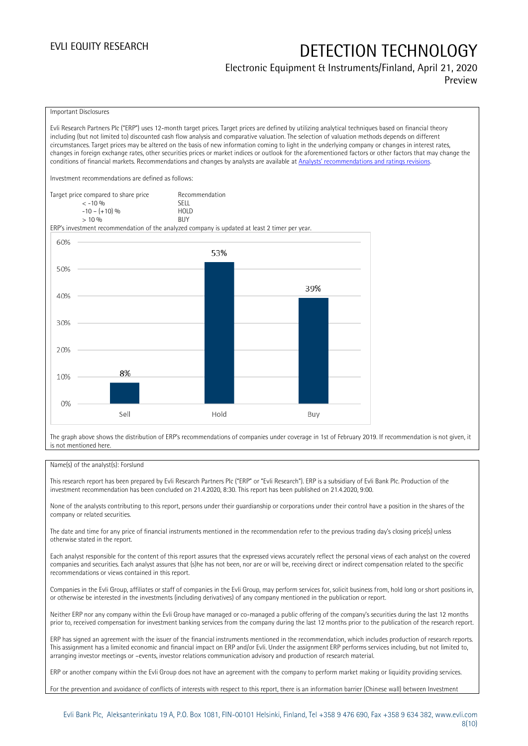### Electronic Equipment & Instruments/Finland, April 21, 2020 Preview

Important Disclosures

Evli Research Partners Plc ("ERP") uses 12-month target prices. Target prices are defined by utilizing analytical techniques based on financial theory including (but not limited to) discounted cash flow analysis and comparative valuation. The selection of valuation methods depends on different circumstances. Target prices may be altered on the basis of new information coming to light in the underlying company or changes in interest rates, changes in foreign exchange rates, other securities prices or market indices or outlook for the aforementioned factors or other factors that may change the conditions of financial markets. Recommendations and changes by analysts are available at [Analysts' recommendations and ratings revisions](https://research.evli.com/JasperAllModels.action?authParam=key;461&authParam=x;G3rNagWrtf7K&authType=3). Investment recommendations are defined as follows: Target price compared to share price Recommendation<br>CELL CALLO 06 < -10 % SELL  $-10 - (+10) \%$  HOL<br>  $> 10 \%$  $> 10\%$ ERP's investment recommendation of the analyzed company is updated at least 2 timer per year. 60% 53% 50% 39% 40% 30% 20% 8% 10%  $0%$ Hold Sell Buy

The graph above shows the distribution of ERP's recommendations of companies under coverage in 1st of February 2019. If recommendation is not given, it is not mentioned here.

### Name(s) of the analyst(s): Forslund

This research report has been prepared by Evli Research Partners Plc ("ERP" or "Evli Research"). ERP is a subsidiary of Evli Bank Plc. Production of the investment recommendation has been concluded on 21.4.2020, 8:30. This report has been published on 21.4.2020, 9:00.

None of the analysts contributing to this report, persons under their guardianship or corporations under their control have a position in the shares of the company or related securities.

The date and time for any price of financial instruments mentioned in the recommendation refer to the previous trading day's closing price(s) unless otherwise stated in the report.

Each analyst responsible for the content of this report assures that the expressed views accurately reflect the personal views of each analyst on the covered companies and securities. Each analyst assures that (s)he has not been, nor are or will be, receiving direct or indirect compensation related to the specific recommendations or views contained in this report.

Companies in the Evli Group, affiliates or staff of companies in the Evli Group, may perform services for, solicit business from, hold long or short positions in, or otherwise be interested in the investments (including derivatives) of any company mentioned in the publication or report.

Neither ERP nor any company within the Evli Group have managed or co-managed a public offering of the company's securities during the last 12 months prior to, received compensation for investment banking services from the company during the last 12 months prior to the publication of the research report.

ERP has signed an agreement with the issuer of the financial instruments mentioned in the recommendation, which includes production of research reports. This assignment has a limited economic and financial impact on ERP and/or Evli. Under the assignment ERP performs services including, but not limited to, arranging investor meetings or –events, investor relations communication advisory and production of research material.

ERP or another company within the Evli Group does not have an agreement with the company to perform market making or liquidity providing services.

For the prevention and avoidance of conflicts of interests with respect to this report, there is an information barrier (Chinese wall) between Investment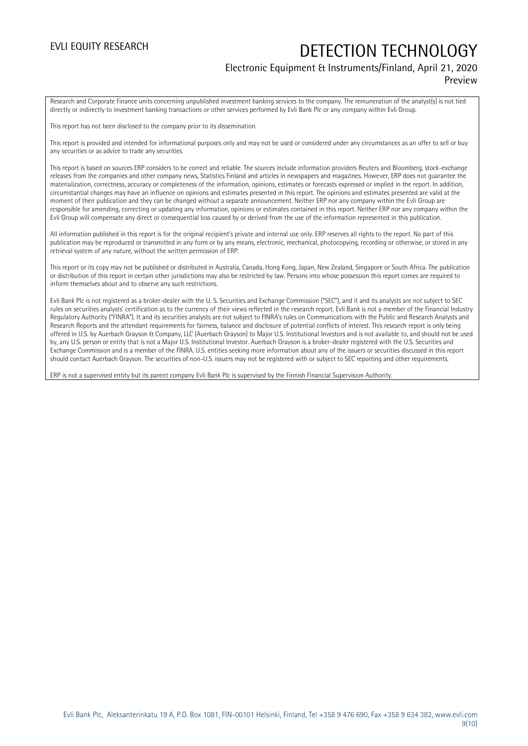### Electronic Equipment & Instruments/Finland, April 21, 2020 Preview

Research and Corporate Finance units concerning unpublished investment banking services to the company. The remuneration of the analyst(s) is not tied directly or indirectly to investment banking transactions or other services performed by Evli Bank Plc or any company within Evli Group.

This report has not been disclosed to the company prior to its dissemination.

This report is provided and intended for informational purposes only and may not be used or considered under any circumstances as an offer to sell or buy any securities or as advice to trade any securities.

This report is based on sources ERP considers to be correct and reliable. The sources include information providers Reuters and Bloomberg, stock-exchange releases from the companies and other company news, Statistics Finland and articles in newspapers and magazines. However, ERP does not guarantee the materialization, correctness, accuracy or completeness of the information, opinions, estimates or forecasts expressed or implied in the report. In addition, circumstantial changes may have an influence on opinions and estimates presented in this report. The opinions and estimates presented are valid at the moment of their publication and they can be changed without a separate announcement. Neither ERP nor any company within the Evli Group are responsible for amending, correcting or updating any information, opinions or estimates contained in this report. Neither ERP nor any company within the Evli Group will compensate any direct or consequential loss caused by or derived from the use of the information represented in this publication.

All information published in this report is for the original recipient's private and internal use only. ERP reserves all rights to the report. No part of this publication may be reproduced or transmitted in any form or by any means, electronic, mechanical, photocopying, recording or otherwise, or stored in any retrieval system of any nature, without the written permission of ERP.

This report or its copy may not be published or distributed in Australia, Canada, Hong Kong, Japan, New Zealand, Singapore or South Africa. The publication or distribution of this report in certain other jurisdictions may also be restricted by law. Persons into whose possession this report comes are required to inform themselves about and to observe any such restrictions.

Evli Bank Plc is not registered as a broker-dealer with the U. S. Securities and Exchange Commission ("SEC"), and it and its analysts are not subject to SEC rules on securities analysts' certification as to the currency of their views reflected in the research report. Evli Bank is not a member of the Financial Industry Regulatory Authority ("FINRA"). It and its securities analysts are not subject to FINRA's rules on Communications with the Public and Research Analysts and Research Reports and the attendant requirements for fairness, balance and disclosure of potential conflicts of interest. This research report is only being offered in U.S. by Auerbach Grayson & Company, LLC (Auerbach Grayson) to Major U.S. Institutional Investors and is not available to, and should not be used by, any U.S. person or entity that is not a Major U.S. Institutional Investor. Auerbach Grayson is a broker-dealer registered with the U.S. Securities and Exchange Commission and is a member of the FINRA. U.S. entities seeking more information about any of the issuers or securities discussed in this report should contact Auerbach Grayson. The securities of non-U.S. issuers may not be registered with or subject to SEC reporting and other requirements.

ERP is not a supervised entity but its parent company Evli Bank Plc is supervised by the Finnish Financial Supervision Authority.